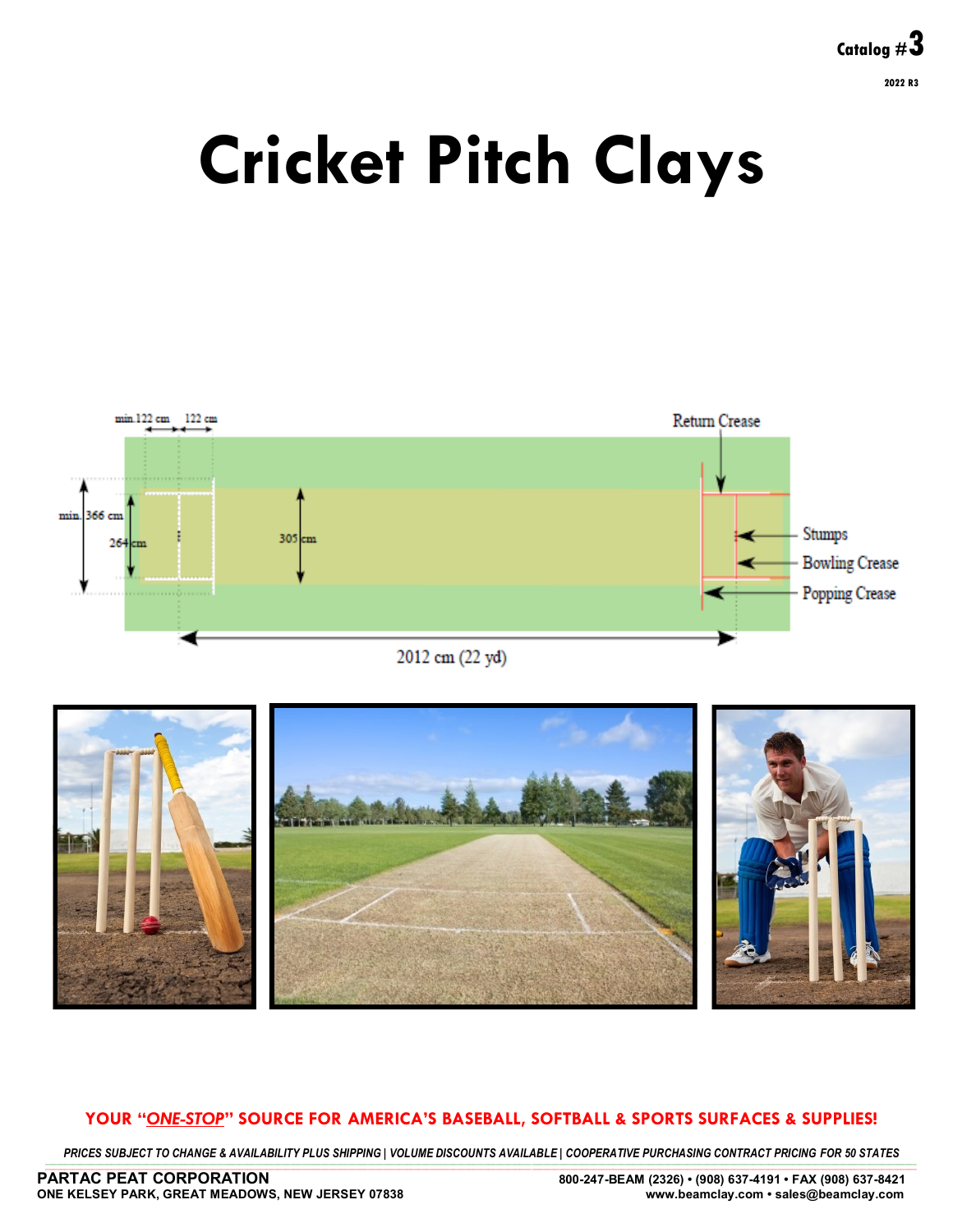## **Page 1 Catalog #3 2022 R3**

# **Cricket Pitch Clays**







## **YOUR "***ONE-STOP***" SOURCE FOR AMERICA'S BASEBALL, SOFTBALL & SPORTS SURFACES & SUPPLIES!**

PRICES SUBJECT TO CHANGE & AVAILABILITY PLUS SHIPPING | VOLUME DISCOUNTS AVAILABLE | COOPERATIVE PURCHASING CONTRACT PRICING FOR 50 STATES \_\_\_\_\_\_\_\_\_\_\_\_\_\_\_\_\_\_\_\_\_\_\_\_\_\_\_\_\_\_\_\_\_\_\_\_\_\_\_\_\_\_\_\_\_\_\_\_\_\_\_\_\_\_\_\_\_\_\_\_\_\_\_\_\_\_\_\_\_\_\_\_\_\_\_\_\_\_\_\_\_\_\_\_\_\_\_\_\_\_\_\_\_\_\_\_\_\_\_\_\_\_\_\_\_\_\_\_\_\_\_\_\_\_\_\_\_\_\_\_\_\_\_\_\_\_\_\_\_\_\_\_\_\_\_\_\_\_\_\_\_\_\_\_\_\_\_\_\_\_\_\_\_\_\_\_\_\_\_\_\_\_\_\_\_\_\_\_\_\_\_\_\_\_\_\_\_\_\_\_\_\_\_\_\_\_\_\_\_\_\_\_\_\_\_\_\_\_\_\_\_\_\_\_\_\_\_\_\_\_\_\_\_\_\_\_\_\_\_\_\_\_\_\_